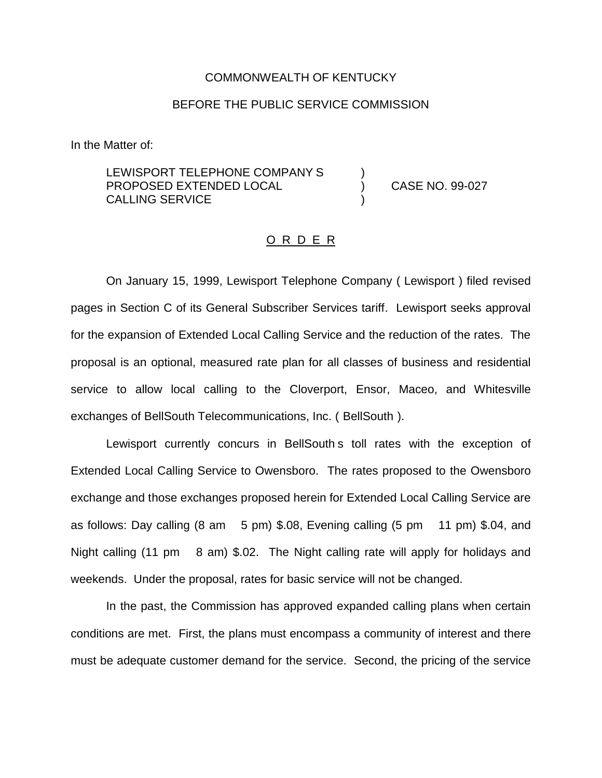## COMMONWEALTH OF KENTUCKY

## BEFORE THE PUBLIC SERVICE COMMISSION

In the Matter of:

LEWISPORT TELEPHONE COMPANY S PROPOSED EXTENDED LOCAL CALLING SERVICE ) )

) CASE NO. 99-027

## O R D E R

On January 15, 1999, Lewisport Telephone Company ( Lewisport ) filed revised pages in Section C of its General Subscriber Services tariff. Lewisport seeks approval for the expansion of Extended Local Calling Service and the reduction of the rates. The proposal is an optional, measured rate plan for all classes of business and residential service to allow local calling to the Cloverport, Ensor, Maceo, and Whitesville exchanges of BellSouth Telecommunications, Inc. ( BellSouth ).

Lewisport currently concurs in BellSouth s toll rates with the exception of Extended Local Calling Service to Owensboro. The rates proposed to the Owensboro exchange and those exchanges proposed herein for Extended Local Calling Service are as follows: Day calling (8 am 5 pm) \$.08, Evening calling (5 pm 11 pm) \$.04, and Night calling (11 pm 8 am) \$.02. The Night calling rate will apply for holidays and weekends. Under the proposal, rates for basic service will not be changed.

In the past, the Commission has approved expanded calling plans when certain conditions are met. First, the plans must encompass a community of interest and there must be adequate customer demand for the service. Second, the pricing of the service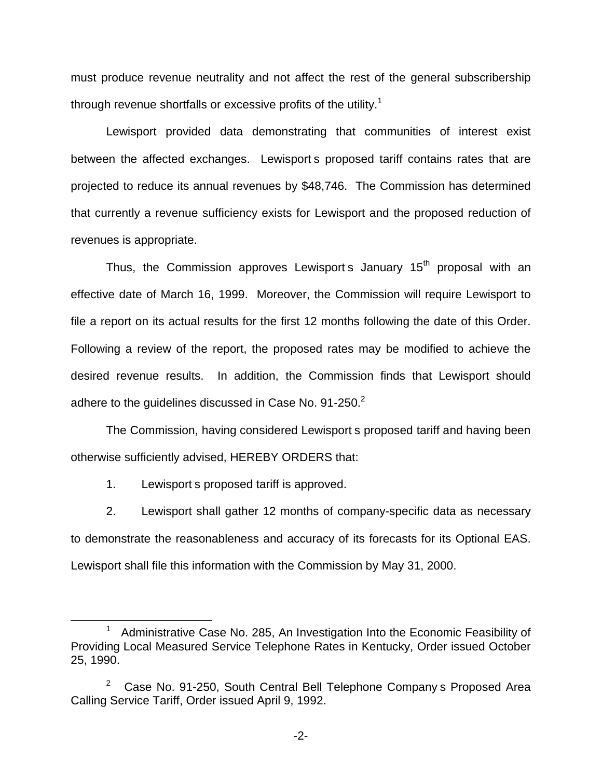must produce revenue neutrality and not affect the rest of the general subscribership through revenue shortfalls or excessive profits of the utility.<sup>1</sup>

Lewisport provided data demonstrating that communities of interest exist between the affected exchanges. Lewisport s proposed tariff contains rates that are projected to reduce its annual revenues by \$48,746. The Commission has determined that currently a revenue sufficiency exists for Lewisport and the proposed reduction of revenues is appropriate.

Thus, the Commission approves Lewisport s January 15<sup>th</sup> proposal with an effective date of March 16, 1999. Moreover, the Commission will require Lewisport to file a report on its actual results for the first 12 months following the date of this Order. Following a review of the report, the proposed rates may be modified to achieve the desired revenue results. In addition, the Commission finds that Lewisport should adhere to the quidelines discussed in Case No. 91-250.<sup>2</sup>

The Commission, having considered Lewisport s proposed tariff and having been otherwise sufficiently advised, HEREBY ORDERS that:

1. Lewisport s proposed tariff is approved.

2. Lewisport shall gather 12 months of company-specific data as necessary to demonstrate the reasonableness and accuracy of its forecasts for its Optional EAS. Lewisport shall file this information with the Commission by May 31, 2000.

<sup>&</sup>lt;sup>1</sup> Administrative Case No. 285, An Investigation Into the Economic Feasibility of Providing Local Measured Service Telephone Rates in Kentucky, Order issued October 25, 1990.

<sup>&</sup>lt;sup>2</sup> Case No. 91-250, South Central Bell Telephone Company s Proposed Area Calling Service Tariff, Order issued April 9, 1992.